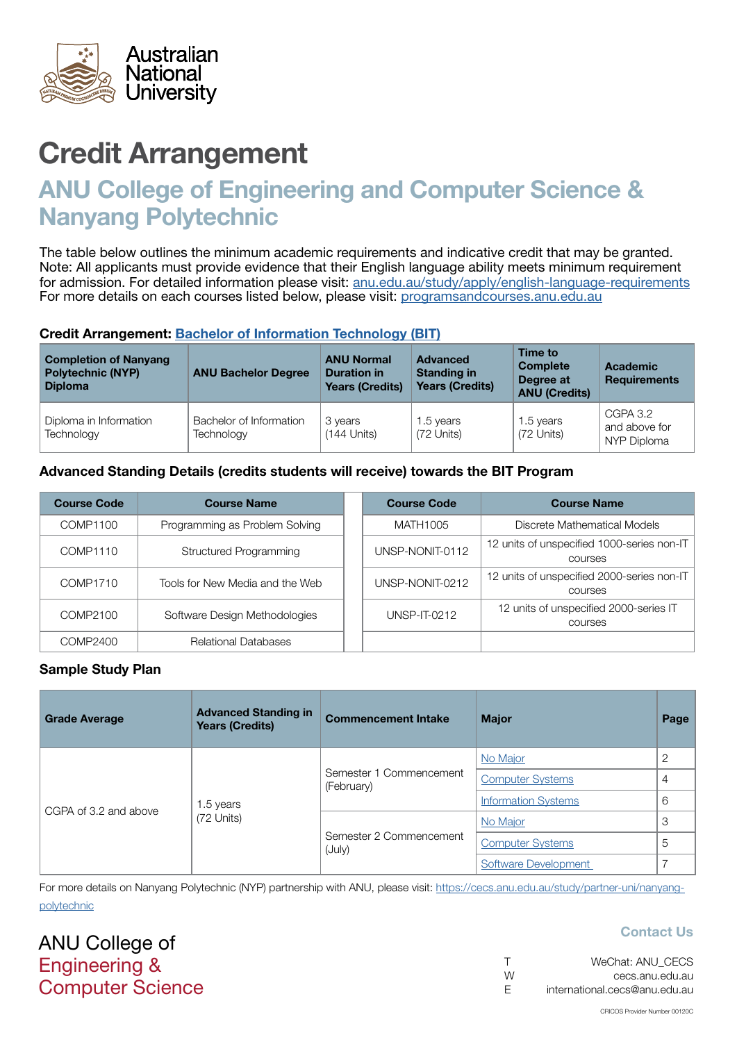

# ANU College of Engineering and Computer Science & Nanyang Polytechnic

The table below outlines the minimum academic requirements and indicative credit that may be granted. Note: All applicants must provide evidence that their English language ability meets minimum requirement for admission. For detailed information please visit: [anu.edu.au/study/apply/english-language-requirements](http://anu.edu.au/study/apply/english-language-requirements) For more details on each courses listed below, please visit: [programsandcourses.anu.edu.au](http://programsandcourses.anu.edu.au/program/BIT)

#### Credit Arrangement: [Bachelor of](http://programsandcourses.anu.edu.au/program/BIT) Information Technology (BIT)

| <b>Completion of Nanyang</b><br><b>Polytechnic (NYP)</b><br><b>Diploma</b> | <b>ANU Bachelor Degree</b>            | <b>ANU Normal</b><br><b>Duration in</b><br><b>Years (Credits)</b> | <b>Advanced</b><br><b>Standing in</b><br><b>Years (Credits)</b> | Time to<br><b>Complete</b><br>Degree at<br><b>ANU (Credits)</b> | <b>Academic</b><br><b>Requirements</b>   |
|----------------------------------------------------------------------------|---------------------------------------|-------------------------------------------------------------------|-----------------------------------------------------------------|-----------------------------------------------------------------|------------------------------------------|
| Diploma in Information<br>Technology                                       | Bachelor of Information<br>Technology | 3 years<br>$(144$ Units)                                          | 1.5 years<br>(72 Units)                                         | 1.5 years<br>(72 Units)                                         | CGPA 3.2<br>and above for<br>NYP Diploma |

### Advanced Standing Details (credits students will receive) towards the BIT Program

| <b>Course Code</b> | <b>Course Name</b>              | <b>Course Code</b> | <b>Course Name</b>                                           |
|--------------------|---------------------------------|--------------------|--------------------------------------------------------------|
| COMP1100           | Programming as Problem Solving  | MATH1005           | Discrete Mathematical Models                                 |
| COMP1110           | <b>Structured Programming</b>   | UNSP-NONIT-0112    | 12 units of unspecified 1000-series non-IT<br><b>COULSES</b> |
| COMP1710           | Tools for New Media and the Web | UNSP-NONIT-0212    | 12 units of unspecified 2000-series non-IT<br><b>COULSES</b> |
| COMP2100           | Software Design Methodologies   | UNSP-IT-0212       | 12 units of unspecified 2000-series IT<br><b>COULSES</b>     |
| COMP2400           | <b>Relational Databases</b>     |                    |                                                              |

#### Sample Study Plan

| <b>Grade Average</b>  | <b>Advanced Standing in</b><br><b>Years (Credits)</b> | <b>Commencement Intake</b>            | <b>Major</b>               | Page |
|-----------------------|-------------------------------------------------------|---------------------------------------|----------------------------|------|
| CGPA of 3.2 and above | 1.5 years<br>(72 Units)                               |                                       | No Major                   | ာ    |
|                       |                                                       | Semester 1 Commencement<br>(February) | <b>Computer Systems</b>    | 4    |
|                       |                                                       |                                       | <b>Information Systems</b> | 6    |
|                       |                                                       |                                       | No Major                   | 3    |
|                       |                                                       | Semester 2 Commencement<br>(July)     | <b>Computer Systems</b>    | 5    |
|                       |                                                       |                                       | Software Development       |      |

For more details on Nanyang Polytechnic (NYP) partnership with ANU, please visit: https://cecs.anu.edu.au/study/partner-uni/nanyangpolytechnic

ANU College of Engineering & Computer Science

|   | WeChat: ANU CECS              |
|---|-------------------------------|
| W | cecs.anu.edu.au               |
| E | international.cecs@anu.edu.au |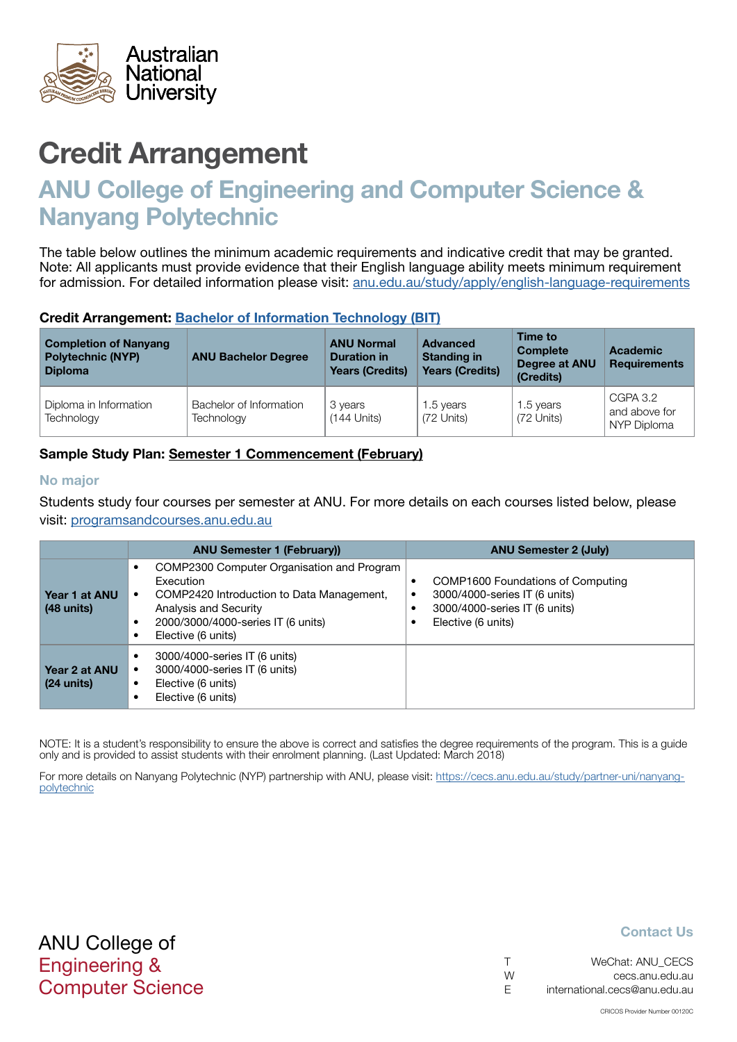<span id="page-1-0"></span>

## ANU College of Engineering and Computer Science & Nanyang Polytechnic

The table below outlines the minimum academic requirements and indicative credit that may be granted. Note: All applicants must provide evidence that their English language ability meets minimum requirement for admission. For detailed information please visit: [anu.edu.au/study/apply/english-language-requirements](http://anu.edu.au/study/apply/english-language-requirements)

#### Credit Arrangement: [Bachelor of](http://programsandcourses.anu.edu.au/program/BIT) Information Technology (BIT)

| <b>Completion of Nanyang</b><br><b>Polytechnic (NYP)</b><br><b>Diploma</b> | <b>ANU Bachelor Degree</b>            | <b>ANU Normal</b><br><b>Duration in</b><br><b>Years (Credits)</b> | <b>Advanced</b><br><b>Standing in</b><br><b>Years (Credits)</b> | Time to<br><b>Complete</b><br>Degree at ANU<br>(Credits) | <b>Academic</b><br><b>Requirements</b>   |
|----------------------------------------------------------------------------|---------------------------------------|-------------------------------------------------------------------|-----------------------------------------------------------------|----------------------------------------------------------|------------------------------------------|
| Diploma in Information<br>Technology                                       | Bachelor of Information<br>Technology | 3 years<br>$(144$ Units)                                          | 1.5 years<br>(72 Units)                                         | 1.5 years<br>(72 Units)                                  | CGPA 3.2<br>and above for<br>NYP Diploma |

### Sample Study Plan: Semester 1 Commencement (February)

#### No major

Students study four courses per semester at ANU. For more details on each courses listed below, please visit: [programsandcourses.anu.edu.au](http://programsandcourses.anu.edu.au/program/BIT)

|                                       | <b>ANU Semester 1 (February)</b>                                                                                                                                                               | <b>ANU Semester 2 (July)</b>                                                                                              |
|---------------------------------------|------------------------------------------------------------------------------------------------------------------------------------------------------------------------------------------------|---------------------------------------------------------------------------------------------------------------------------|
| Year 1 at ANU<br>$(48 \text{ units})$ | COMP2300 Computer Organisation and Program<br>Execution<br>COMP2420 Introduction to Data Management,<br>٠<br>Analysis and Security<br>2000/3000/4000-series IT (6 units)<br>Elective (6 units) | COMP1600 Foundations of Computing<br>3000/4000-series IT (6 units)<br>3000/4000-series IT (6 units)<br>Elective (6 units) |
| Year 2 at ANU<br>$(24 \text{ units})$ | 3000/4000-series IT (6 units)<br>3000/4000-series IT (6 units)<br>Elective (6 units)<br>٠<br>Elective (6 units)                                                                                |                                                                                                                           |

NOTE: It is a student's responsibility to ensure the above is correct and satisfies the degree requirements of the program. This is a guide only and is provided to assist students with their enrolment planning. (Last Updated: March 2018)

For more details on Nanyang Polytechnic (NYP) partnership with ANU, please visit: https://cecs.anu.edu.au/study/partner-uni/nanyangpolytechnic

| $\top$ | WeChat: ANU CECS              |
|--------|-------------------------------|
| W      | cecs.anu.edu.au               |
| -F     | international.cecs@anu.edu.au |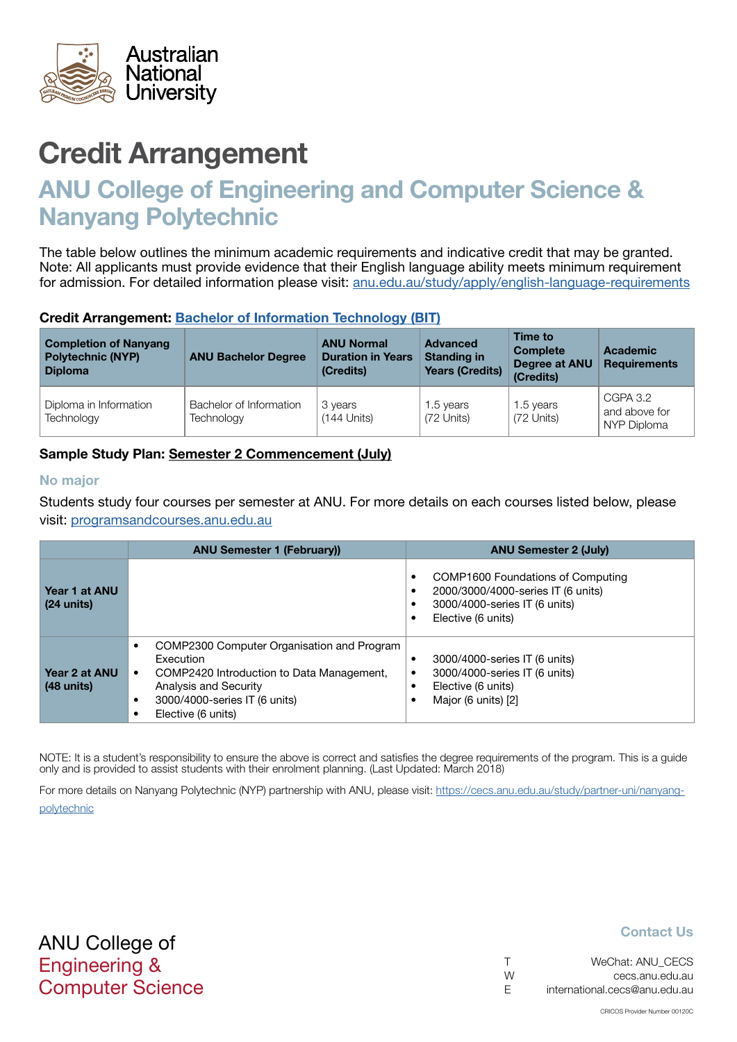<span id="page-2-0"></span>

# ANU College of Engineering and Computer Science & Nanyang Polytechnic

The table below outlines the minimum academic requirements and indicative credit that may be granted. Note: All applicants must provide evidence that their English language ability meets minimum requirement for admission. For detailed information please visit: [anu.edu.au/study/apply/english-language-requirements](http://anu.edu.au/study/apply/english-language-requirements)

#### Credit Arrangement: [Bachelor of](http://programsandcourses.anu.edu.au/program/BIT) Information Technology (BIT)

| <b>Completion of Nanyang</b><br><b>Polytechnic (NYP)</b><br><b>Diploma</b> | <b>ANU Bachelor Degree</b>            | <b>ANU Normal</b><br><b>Duration in Years</b><br>(Credits) | Advanced<br><b>Standing in</b><br><b>Years (Credits)</b> | Time to<br><b>Complete</b><br>Degree at ANU<br>(Credits) | <b>Academic</b><br><b>Requirements</b>   |
|----------------------------------------------------------------------------|---------------------------------------|------------------------------------------------------------|----------------------------------------------------------|----------------------------------------------------------|------------------------------------------|
| Diploma in Information<br>Technology                                       | Bachelor of Information<br>Technology | 3 years<br>$(144$ Units)                                   | 1.5 years<br>(72 Units)                                  | 1.5 years<br>(72 Units)                                  | CGPA 3.2<br>and above for<br>NYP Diploma |

## Sample Study Plan: Semester 2 Commencement (July)

#### No major

Students study four courses per semester at ANU. For more details on each courses listed below, please visit: [programsandcourses.anu.edu.au](http://programsandcourses.anu.edu.au/program/BIT)

|                                       | <b>ANU Semester 1 (February))</b>                                                                                                                                                                                           | <b>ANU Semester 2 (July)</b>                                                                                                        |
|---------------------------------------|-----------------------------------------------------------------------------------------------------------------------------------------------------------------------------------------------------------------------------|-------------------------------------------------------------------------------------------------------------------------------------|
| Year 1 at ANU<br>$(24 \text{ units})$ |                                                                                                                                                                                                                             | COMP1600 Foundations of Computing<br>٠<br>2000/3000/4000-series IT (6 units)<br>3000/4000-series IT (6 units)<br>Elective (6 units) |
| Year 2 at ANU<br>$(48 \text{ units})$ | COMP2300 Computer Organisation and Program<br>$\bullet$<br>Execution<br>COMP2420 Introduction to Data Management,<br>$\bullet$<br>Analysis and Security<br>3000/4000-series IT (6 units)<br>$\bullet$<br>Elective (6 units) | 3000/4000-series IT (6 units)<br>3000/4000-series IT (6 units)<br>Elective (6 units)<br>Major (6 units) [2]                         |

NOTE: It is a student's responsibility to ensure the above is correct and satisfies the degree requirements of the program. This is a guide only and is provided to assist students with their enrolment planning. (Last Updated: March 2018)

For more details on Nanyang Polytechnic (NYP) partnership with ANU, please visit: https://cecs.anu.edu.au/study/partner-uni/nanyangpolytechnic

| $\top$ | WeChat: ANU CECS              |
|--------|-------------------------------|
| W      | cecs.anu.edu.au               |
| - F    | international.cecs@anu.edu.au |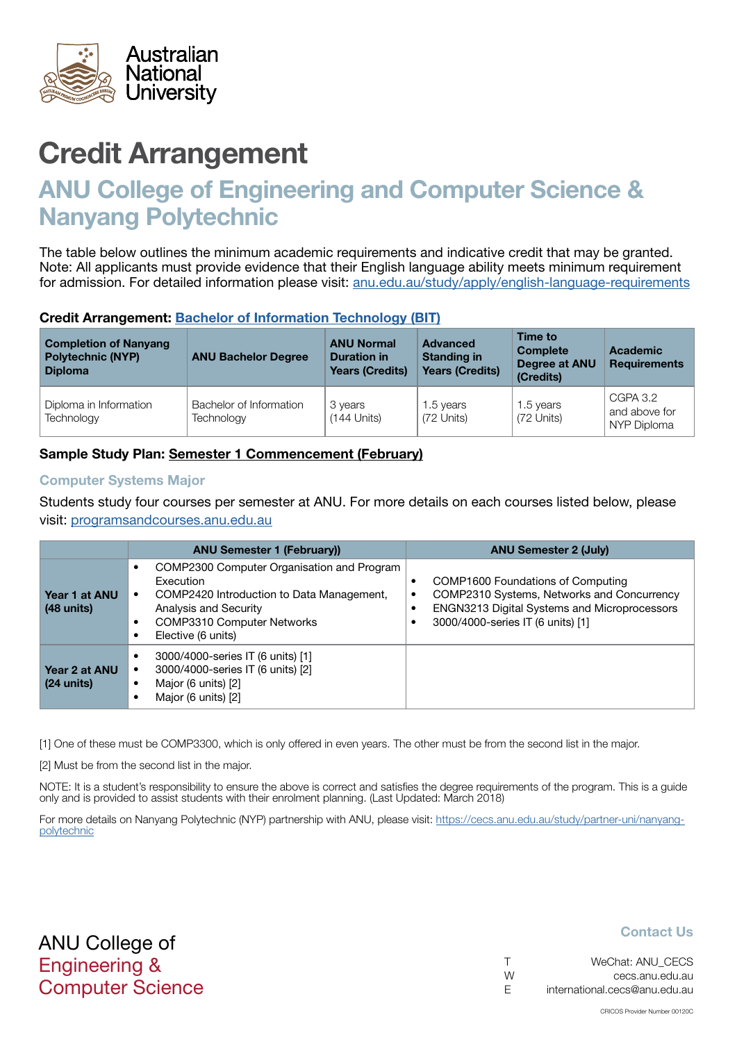<span id="page-3-0"></span>

# ANU College of Engineering and Computer Science & Nanyang Polytechnic

The table below outlines the minimum academic requirements and indicative credit that may be granted. Note: All applicants must provide evidence that their English language ability meets minimum requirement for admission. For detailed information please visit: [anu.edu.au/study/apply/english-language-requirements](http://anu.edu.au/study/apply/english-language-requirements)

#### Credit Arrangement: [Bachelor of](http://programsandcourses.anu.edu.au/program/BIT) Information Technology (BIT)

| <b>Completion of Nanyang</b><br><b>Polytechnic (NYP)</b><br><b>Diploma</b> | <b>ANU Bachelor Degree</b>            | <b>ANU Normal</b><br><b>Duration in</b><br><b>Years (Credits)</b> | <b>Advanced</b><br><b>Standing in</b><br><b>Years (Credits)</b> | Time to<br><b>Complete</b><br>Degree at ANU<br>(Credits) | <b>Academic</b><br><b>Requirements</b>   |
|----------------------------------------------------------------------------|---------------------------------------|-------------------------------------------------------------------|-----------------------------------------------------------------|----------------------------------------------------------|------------------------------------------|
| Diploma in Information<br>Technology                                       | Bachelor of Information<br>Technology | 3 years<br>$(144$ Units)                                          | 1.5 years<br>(72 Units)                                         | 1.5 years<br>(72 Units)                                  | CGPA 3.2<br>and above for<br>NYP Diploma |

### Sample Study Plan: Semester 1 Commencement (February)

#### Computer Systems Major

Students study four courses per semester at ANU. For more details on each courses listed below, please visit: [programsandcourses.anu.edu.au](http://programsandcourses.anu.edu.au/program/BIT)

|                               | <b>ANU Semester 1 (February))</b>                                                                                                                                                        | <b>ANU Semester 2 (July)</b>                                                                                                                                              |
|-------------------------------|------------------------------------------------------------------------------------------------------------------------------------------------------------------------------------------|---------------------------------------------------------------------------------------------------------------------------------------------------------------------------|
| Year 1 at ANU<br>$(48$ units) | COMP2300 Computer Organisation and Program<br>Execution<br>COMP2420 Introduction to Data Management,<br>Analysis and Security<br><b>COMP3310 Computer Networks</b><br>Elective (6 units) | COMP1600 Foundations of Computing<br>COMP2310 Systems, Networks and Concurrency<br>٠<br>ENGN3213 Digital Systems and Microprocessors<br>3000/4000-series IT (6 units) [1] |
| Year 2 at ANU<br>$(24$ units) | 3000/4000-series IT (6 units) [1]<br>3000/4000-series IT (6 units) [2]<br>Major (6 units) [2]<br>Major (6 units) [2]                                                                     |                                                                                                                                                                           |

[1] One of these must be COMP3300, which is only offered in even years. The other must be from the second list in the major.

[2] Must be from the second list in the major.

NOTE: It is a student's responsibility to ensure the above is correct and satisfies the degree requirements of the program. This is a guide only and is provided to assist students with their enrolment planning. (Last Updated: March 2018)

For more details on Nanyang Polytechnic (NYP) partnership with ANU, please visit: https://cecs.anu.edu.au/study/partner-uni/nanyangpolytechnic

ANU College of Engineering & Computer Science

|   | WeChat: ANU CECS              |
|---|-------------------------------|
| W | cecs.anu.edu.au               |
| E | international.cecs@anu.edu.au |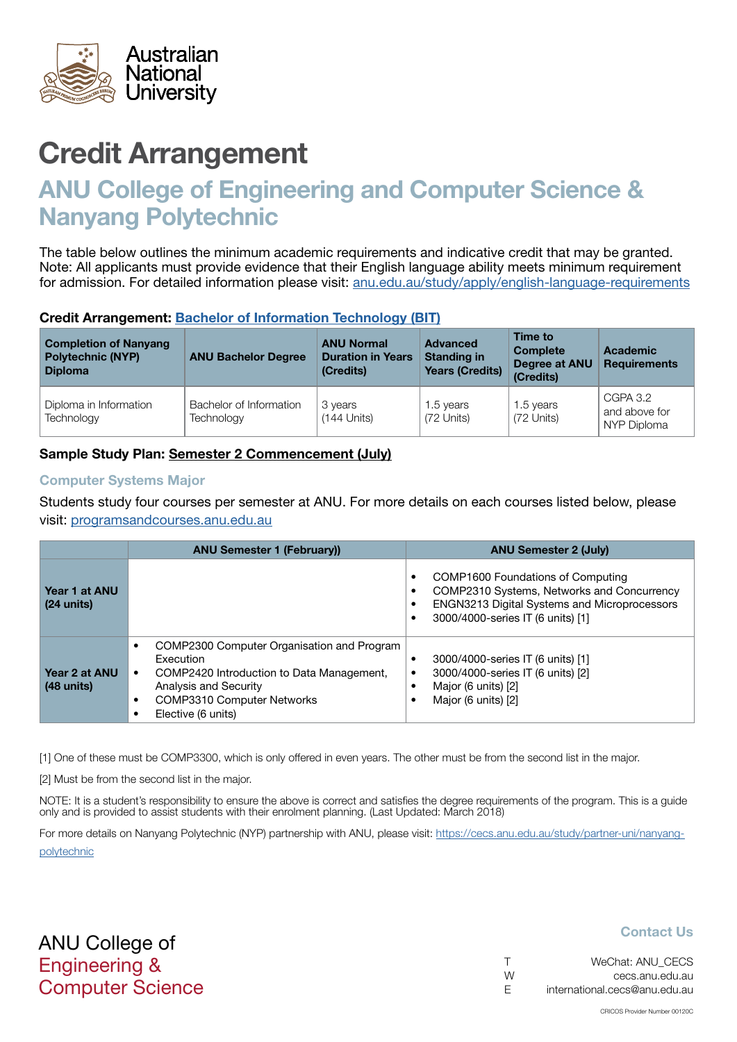<span id="page-4-0"></span>

# ANU College of Engineering and Computer Science & Nanyang Polytechnic

The table below outlines the minimum academic requirements and indicative credit that may be granted. Note: All applicants must provide evidence that their English language ability meets minimum requirement for admission. For detailed information please visit: [anu.edu.au/study/apply/english-language-requirements](http://anu.edu.au/study/apply/english-language-requirements)

#### Credit Arrangement: [Bachelor of](http://programsandcourses.anu.edu.au/program/BIT) Information Technology (BIT)

| <b>Completion of Nanyang</b><br><b>Polytechnic (NYP)</b><br><b>Diploma</b> | <b>ANU Bachelor Degree</b>            | <b>ANU Normal</b><br><b>Duration in Years</b><br>(Credits) | <b>Advanced</b><br><b>Standing in</b><br><b>Years (Credits)</b> | Time to<br><b>Complete</b><br>Degree at ANU<br>(Credits) | <b>Academic</b><br><b>Requirements</b>   |
|----------------------------------------------------------------------------|---------------------------------------|------------------------------------------------------------|-----------------------------------------------------------------|----------------------------------------------------------|------------------------------------------|
| Diploma in Information<br>Technology                                       | Bachelor of Information<br>Technology | 3 years<br>$(144$ Units)                                   | 1.5 years<br>(72 Units)                                         | 1.5 years<br>(72 Units)                                  | CGPA 3.2<br>and above for<br>NYP Diploma |

## Sample Study Plan: Semester 2 Commencement (July)

#### Computer Systems Major

Students study four courses per semester at ANU. For more details on each courses listed below, please visit: [programsandcourses.anu.edu.au](http://programsandcourses.anu.edu.au/program/BIT)

|                                       | <b>ANU Semester 1 (February))</b>                                                                                                                                                                          | <b>ANU Semester 2 (July)</b>                                                                                                                                                   |
|---------------------------------------|------------------------------------------------------------------------------------------------------------------------------------------------------------------------------------------------------------|--------------------------------------------------------------------------------------------------------------------------------------------------------------------------------|
| Year 1 at ANU<br>$(24 \text{ units})$ |                                                                                                                                                                                                            | COMP1600 Foundations of Computing<br>٠<br>COMP2310 Systems, Networks and Concurrency<br>٠<br>ENGN3213 Digital Systems and Microprocessors<br>3000/4000-series IT (6 units) [1] |
| Year 2 at ANU<br>$(48$ units)         | COMP2300 Computer Organisation and Program<br>Execution<br>COMP2420 Introduction to Data Management,<br>٠<br>Analysis and Security<br><b>COMP3310 Computer Networks</b><br>$\bullet$<br>Elective (6 units) | 3000/4000-series IT (6 units) [1]<br>3000/4000-series IT (6 units) [2]<br>Major (6 units) [2]<br>Major (6 units) [2]                                                           |

[1] One of these must be COMP3300, which is only offered in even years. The other must be from the second list in the major.

[2] Must be from the second list in the major.

NOTE: It is a student's responsibility to ensure the above is correct and satisfies the degree requirements of the program. This is a guide only and is provided to assist students with their enrolment planning. (Last Updated: March 2018)

For more details on Nanyang Polytechnic (NYP) partnership with ANU, please visit: https://cecs.anu.edu.au/study/partner-uni/nanyangpolytechnic

ANU College of Engineering & Computer Science

| $\top$ | WeChat: ANU CECS              |
|--------|-------------------------------|
| W      | cecs.anu.edu.au               |
| E      | international.cecs@anu.edu.au |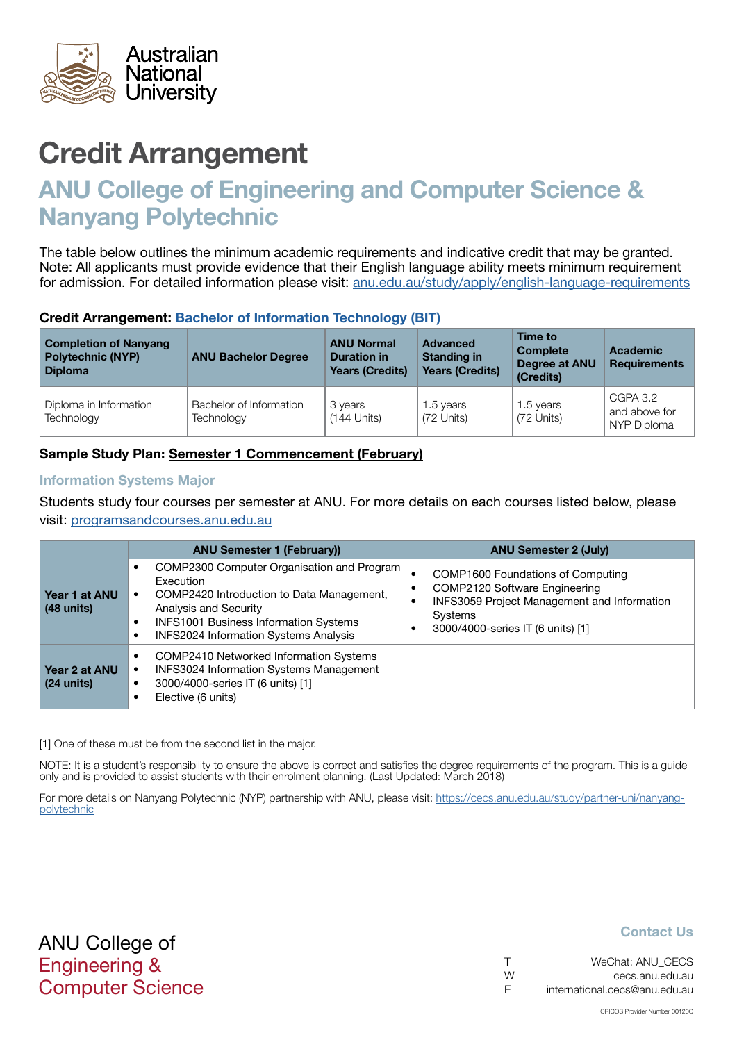<span id="page-5-0"></span>

# ANU College of Engineering and Computer Science & Nanyang Polytechnic

The table below outlines the minimum academic requirements and indicative credit that may be granted. Note: All applicants must provide evidence that their English language ability meets minimum requirement for admission. For detailed information please visit: [anu.edu.au/study/apply/english-language-requirements](http://anu.edu.au/study/apply/english-language-requirements)

#### Credit Arrangement: [Bachelor of](http://programsandcourses.anu.edu.au/program/BIT) Information Technology (BIT)

| <b>Completion of Nanyang</b><br><b>Polytechnic (NYP)</b><br><b>Diploma</b> | <b>ANU Bachelor Degree</b>            | <b>ANU Normal</b><br><b>Duration in</b><br><b>Years (Credits)</b> | <b>Advanced</b><br><b>Standing in</b><br><b>Years (Credits)</b> | Time to<br><b>Complete</b><br>Degree at ANU<br>(Credits) | <b>Academic</b><br><b>Requirements</b>   |
|----------------------------------------------------------------------------|---------------------------------------|-------------------------------------------------------------------|-----------------------------------------------------------------|----------------------------------------------------------|------------------------------------------|
| Diploma in Information<br>Technology                                       | Bachelor of Information<br>Technology | 3 years<br>$(144$ Units)                                          | 1.5 years<br>(72 Units)                                         | 1.5 years<br>(72 Units)                                  | CGPA 3.2<br>and above for<br>NYP Diploma |

### Sample Study Plan: Semester 1 Commencement (February)

#### Information Systems Major

Students study four courses per semester at ANU. For more details on each courses listed below, please visit: [programsandcourses.anu.edu.au](http://programsandcourses.anu.edu.au/program/BIT)

|                               | <b>ANU Semester 1 (February))</b>                                                                                                                                                                                             | <b>ANU Semester 2 (July)</b>                                                                                                                                      |
|-------------------------------|-------------------------------------------------------------------------------------------------------------------------------------------------------------------------------------------------------------------------------|-------------------------------------------------------------------------------------------------------------------------------------------------------------------|
| Year 1 at ANU<br>$(48$ units) | COMP2300 Computer Organisation and Program<br>Execution<br>COMP2420 Introduction to Data Management,<br>Analysis and Security<br><b>INFS1001 Business Information Systems</b><br><b>INFS2024 Information Systems Analysis</b> | COMP1600 Foundations of Computing<br>COMP2120 Software Engineering<br>INFS3059 Project Management and Information<br>Systems<br>3000/4000-series IT (6 units) [1] |
| Year 2 at ANU<br>$(24$ units) | COMP2410 Networked Information Systems<br>$\bullet$<br><b>INFS3024 Information Systems Management</b><br>3000/4000-series IT (6 units) [1]<br>Elective (6 units)                                                              |                                                                                                                                                                   |

[1] One of these must be from the second list in the major.

NOTE: It is a student's responsibility to ensure the above is correct and satisfies the degree requirements of the program. This is a guide only and is provided to assist students with their enrolment planning. (Last Updated: March 2018)

For more details on Nanyang Polytechnic (NYP) partnership with ANU, please visit: https://cecs.anu.edu.au/study/partner-uni/nanyangpolytechnic

| $\top$ | WeChat: ANU CECS              |
|--------|-------------------------------|
| W      | cecs.anu.edu.au               |
| - F    | international.cecs@anu.edu.au |